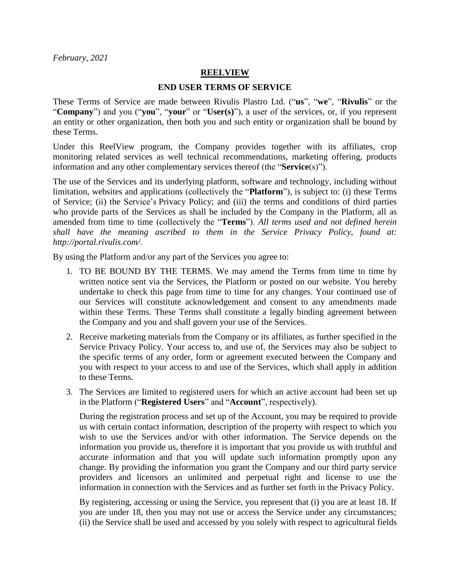*February, 2021*

## **REELVIEW**

## **END USER TERMS OF SERVICE**

These Terms of Service are made between Rivulis Plastro Ltd. ("**us**", "**we**", "**Rivulis**" or the "**Company**") and you ("**you**", "**your**" or "**User(s)**"), a user of the services, or, if you represent an entity or other organization, then both you and such entity or organization shall be bound by these Terms.

Under this ReelView program, the Company provides together with its affiliates, crop monitoring related services as well technical recommendations, marketing offering, products information and any other complementary services thereof (the "**Service**(s)").

The use of the Services and its underlying platform, software and technology, including without limitation, websites and applications (collectively the "**Platform**"), is subject to: (i) these Terms of Service; (ii) the Service's [Privacy Policy;](https://manna-irrigation.com/privacy-policy/) and (iii) the terms and conditions of third parties who provide parts of the Services as shall be included by the Company in the Platform, all as amended from time to time (collectively the "**Terms**"). *All terms used and not defined herein shall have the meaning ascribed to them in the Service Privacy Policy, found at: http://portal.rivulis.com/*.

By using the Platform and/or any part of the Services you agree to:

- 1. TO BE BOUND BY THE TERMS. We may amend the Terms from time to time by written notice sent via the Services, the Platform or posted on our website. You hereby undertake to check this page from time to time for any changes. Your continued use of our Services will constitute acknowledgement and consent to any amendments made within these Terms. These Terms shall constitute a legally binding agreement between the Company and you and shall govern your use of the Services.
- 2. Receive marketing materials from the Company or its affiliates, as further specified in the Service Privacy Policy. Your access to, and use of, the Services may also be subject to the specific terms of any order, form or agreement executed between the Company and you with respect to your access to and use of the Services, which shall apply in addition to these Terms.
- 3. The Services are limited to registered users for which an active account had been set up in the Platform ("**Registered Users**" and "**Account**", respectively).

During the registration process and set up of the Account, you may be required to provide us with certain contact information, description of the property with respect to which you wish to use the Services and/or with other information. The Service depends on the information you provide us, therefore it is important that you provide us with truthful and accurate information and that you will update such information promptly upon any change. By providing the information you grant the Company and our third party service providers and licensors an unlimited and perpetual right and license to use the information in connection with the Services and as further set forth in the Privacy Policy.

By registering, accessing or using the Service, you represent that (i) you are at least 18. If you are under 18, then you may not use or access the Service under any circumstances; (ii) the Service shall be used and accessed by you solely with respect to agricultural fields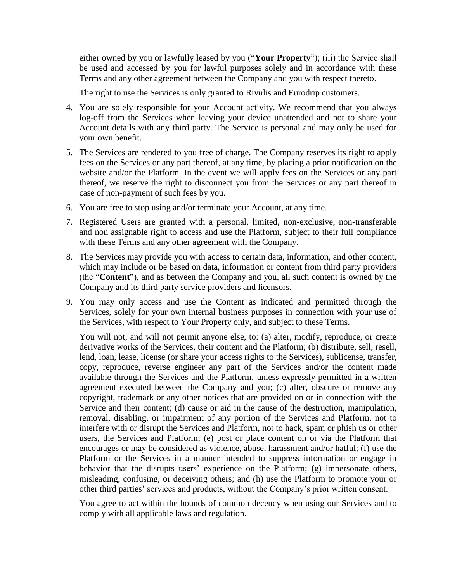either owned by you or lawfully leased by you ("**Your Property**"); (iii) the Service shall be used and accessed by you for lawful purposes solely and in accordance with these Terms and any other agreement between the Company and you with respect thereto.

The right to use the Services is only granted to Rivulis and Eurodrip customers.

- 4. You are solely responsible for your Account activity. We recommend that you always log-off from the Services when leaving your device unattended and not to share your Account details with any third party. The Service is personal and may only be used for your own benefit.
- 5. The Services are rendered to you free of charge. The Company reserves its right to apply fees on the Services or any part thereof, at any time, by placing a prior notification on the website and/or the Platform. In the event we will apply fees on the Services or any part thereof, we reserve the right to disconnect you from the Services or any part thereof in case of non-payment of such fees by you.
- 6. You are free to stop using and/or terminate your Account, at any time.
- 7. Registered Users are granted with a personal, limited, non-exclusive, non-transferable and non assignable right to access and use the Platform, subject to their full compliance with these Terms and any other agreement with the Company.
- 8. The Services may provide you with access to certain data, information, and other content, which may include or be based on data, information or content from third party providers (the "**Content**"), and as between the Company and you, all such content is owned by the Company and its third party service providers and licensors.
- <span id="page-1-0"></span>9. You may only access and use the Content as indicated and permitted through the Services, solely for your own internal business purposes in connection with your use of the Services, with respect to Your Property only, and subject to these Terms.

You will not, and will not permit anyone else, to: (a) alter, modify, reproduce, or create derivative works of the Services, their content and the Platform; (b) distribute, sell, resell, lend, loan, lease, license (or share your access rights to the Services), sublicense, transfer, copy, reproduce, reverse engineer any part of the Services and/or the content made available through the Services and the Platform, unless expressly permitted in a written agreement executed between the Company and you; (c) alter, obscure or remove any copyright, trademark or any other notices that are provided on or in connection with the Service and their content; (d) cause or aid in the cause of the destruction, manipulation, removal, disabling, or impairment of any portion of the Services and Platform, not to interfere with or disrupt the Services and Platform, not to hack, spam or phish us or other users, the Services and Platform; (e) post or place content on or via the Platform that encourages or may be considered as violence, abuse, harassment and/or hatful; (f) use the Platform or the Services in a manner intended to suppress information or engage in behavior that the disrupts users' experience on the Platform; (g) impersonate others, misleading, confusing, or deceiving others; and (h) use the Platform to promote your or other third parties' services and products, without the Company's prior written consent.

You agree to act within the bounds of common decency when using our Services and to comply with all applicable laws and regulation.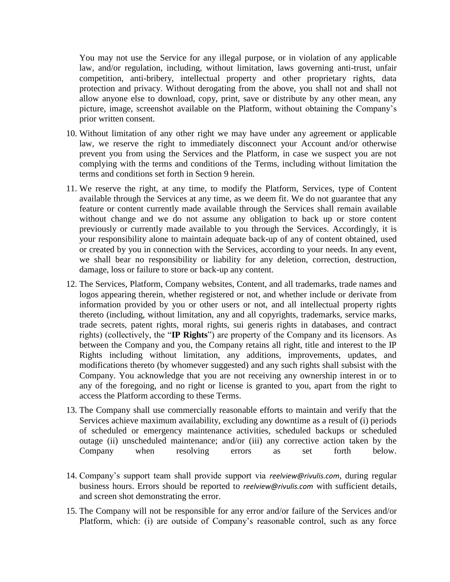You may not use the Service for any illegal purpose, or in violation of any applicable law, and/or regulation, including, without limitation, laws governing anti-trust, unfair competition, anti-bribery, intellectual property and other proprietary rights, data protection and privacy. Without derogating from the above, you shall not and shall not allow anyone else to download, copy, print, save or distribute by any other mean, any picture, image, screenshot available on the Platform, without obtaining the Company's prior written consent.

- 10. Without limitation of any other right we may have under any agreement or applicable law, we reserve the right to immediately disconnect your Account and/or otherwise prevent you from using the Services and the Platform, in case we suspect you are not complying with the terms and conditions of the Terms, including without limitation the terms and conditions set forth in Section [9](#page-1-0) herein.
- 11. We reserve the right, at any time, to modify the Platform, Services, type of Content available through the Services at any time, as we deem fit. We do not guarantee that any feature or content currently made available through the Services shall remain available without change and we do not assume any obligation to back up or store content previously or currently made available to you through the Services. Accordingly, it is your responsibility alone to maintain adequate back-up of any of content obtained, used or created by you in connection with the Services, according to your needs. In any event, we shall bear no responsibility or liability for any deletion, correction, destruction, damage, loss or failure to store or back-up any content.
- 12. The Services, Platform, Company websites, Content, and all trademarks, trade names and logos appearing therein, whether registered or not, and whether include or derivate from information provided by you or other users or not, and all intellectual property rights thereto (including, without limitation, any and all copyrights, trademarks, service marks, trade secrets, patent rights, moral rights, sui generis rights in databases, and contract rights) (collectively, the "**IP Rights**") are property of the Company and its licensors. As between the Company and you, the Company retains all right, title and interest to the IP Rights including without limitation, any additions, improvements, updates, and modifications thereto (by whomever suggested) and any such rights shall subsist with the Company. You acknowledge that you are not receiving any ownership interest in or to any of the foregoing, and no right or license is granted to you, apart from the right to access the Platform according to these Terms.
- 13. The Company shall use commercially reasonable efforts to maintain and verify that the Services achieve maximum availability, excluding any downtime as a result of (i) periods of scheduled or emergency maintenance activities, scheduled backups or scheduled outage (ii) unscheduled maintenance; and/or (iii) any corrective action taken by the Company when resolving errors as set forth below.
- 14. Company's support team shall provide support via *reelview@rivulis.com*, during regular business hours. Errors should be reported to *reelview@rivulis.com* with sufficient details, and screen shot demonstrating the error.
- 15. The Company will not be responsible for any error and/or failure of the Services and/or Platform, which: (i) are outside of Company's reasonable control, such as any force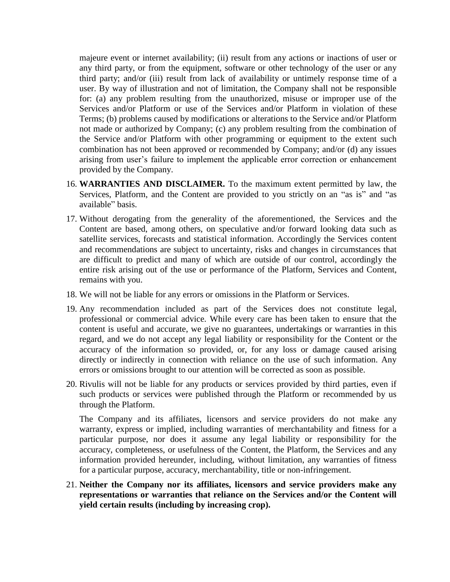majeure event or internet availability; (ii) result from any actions or inactions of user or any third party, or from the equipment, software or other technology of the user or any third party; and/or (iii) result from lack of availability or untimely response time of a user. By way of illustration and not of limitation, the Company shall not be responsible for: (a) any problem resulting from the unauthorized, misuse or improper use of the Services and/or Platform or use of the Services and/or Platform in violation of these Terms; (b) problems caused by modifications or alterations to the Service and/or Platform not made or authorized by Company; (c) any problem resulting from the combination of the Service and/or Platform with other programming or equipment to the extent such combination has not been approved or recommended by Company; and/or (d) any issues arising from user's failure to implement the applicable error correction or enhancement provided by the Company.

- 16. **WARRANTIES AND DISCLAIMER.** To the maximum extent permitted by law, the Services, Platform, and the Content are provided to you strictly on an "as is" and "as available" basis.
- 17. Without derogating from the generality of the aforementioned, the Services and the Content are based, among others, on speculative and/or forward looking data such as satellite services, forecasts and statistical information. Accordingly the Services content and recommendations are subject to uncertainty, risks and changes in circumstances that are difficult to predict and many of which are outside of our control, accordingly the entire risk arising out of the use or performance of the Platform, Services and Content, remains with you.
- 18. We will not be liable for any errors or omissions in the Platform or Services.
- 19. Any recommendation included as part of the Services does not constitute legal, professional or commercial advice. While every care has been taken to ensure that the content is useful and accurate, we give no guarantees, undertakings or warranties in this regard, and we do not accept any legal liability or responsibility for the Content or the accuracy of the information so provided, or, for any loss or damage caused arising directly or indirectly in connection with reliance on the use of such information. Any errors or omissions brought to our attention will be corrected as soon as possible.
- 20. Rivulis will not be liable for any products or services provided by third parties, even if such products or services were published through the Platform or recommended by us through the Platform.

The Company and its affiliates, licensors and service providers do not make any warranty, express or implied, including warranties of merchantability and fitness for a particular purpose, nor does it assume any legal liability or responsibility for the accuracy, completeness, or usefulness of the Content, the Platform, the Services and any information provided hereunder, including, without limitation, any warranties of fitness for a particular purpose, accuracy, merchantability, title or non-infringement.

21. **Neither the Company nor its affiliates, licensors and service providers make any representations or warranties that reliance on the Services and/or the Content will yield certain results (including by increasing crop).**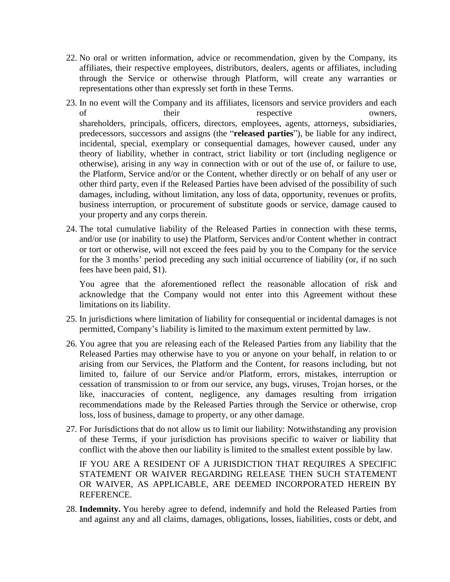- 22. No oral or written information, advice or recommendation, given by the Company, its affiliates, their respective employees, distributors, dealers, agents or affiliates, including through the Service or otherwise through Platform, will create any warranties or representations other than expressly set forth in these Terms.
- 23. In no event will the Company and its affiliates, licensors and service providers and each of their their respective owners, shareholders, principals, officers, directors, employees, agents, attorneys, subsidiaries, predecessors, successors and assigns (the "**released parties**"), be liable for any indirect, incidental, special, exemplary or consequential damages, however caused, under any theory of liability, whether in contract, strict liability or tort (including negligence or otherwise), arising in any way in connection with or out of the use of, or failure to use, the Platform, Service and/or or the Content, whether directly or on behalf of any user or other third party, even if the Released Parties have been advised of the possibility of such damages, including, without limitation, any loss of data, opportunity, revenues or profits, business interruption, or procurement of substitute goods or service, damage caused to your property and any corps therein.
- 24. The total cumulative liability of the Released Parties in connection with these terms, and/or use (or inability to use) the Platform, Services and/or Content whether in contract or tort or otherwise, will not exceed the fees paid by you to the Company for the service for the 3 months' period preceding any such initial occurrence of liability (or, if no such fees have been paid, \$1).

You agree that the aforementioned reflect the reasonable allocation of risk and acknowledge that the Company would not enter into this Agreement without these limitations on its liability.

- 25. In jurisdictions where limitation of liability for consequential or incidental damages is not permitted, Company's liability is limited to the maximum extent permitted by law.
- 26. You agree that you are releasing each of the Released Parties from any liability that the Released Parties may otherwise have to you or anyone on your behalf, in relation to or arising from our Services, the Platform and the Content, for reasons including, but not limited to, failure of our Service and/or Platform, errors, mistakes, interruption or cessation of transmission to or from our service, any bugs, viruses, Trojan horses, or the like, inaccuracies of content, negligence, any damages resulting from irrigation recommendations made by the Released Parties through the Service or otherwise, crop loss, loss of business, damage to property, or any other damage.
- 27. For Jurisdictions that do not allow us to limit our liability: Notwithstanding any provision of these Terms, if your jurisdiction has provisions specific to waiver or liability that conflict with the above then our liability is limited to the smallest extent possible by law.

IF YOU ARE A RESIDENT OF A JURISDICTION THAT REQUIRES A SPECIFIC STATEMENT OR WAIVER REGARDING RELEASE THEN SUCH STATEMENT OR WAIVER, AS APPLICABLE, ARE DEEMED INCORPORATED HEREIN BY REFERENCE.

28. **Indemnity.** You hereby agree to defend, indemnify and hold the Released Parties from and against any and all claims, damages, obligations, losses, liabilities, costs or debt, and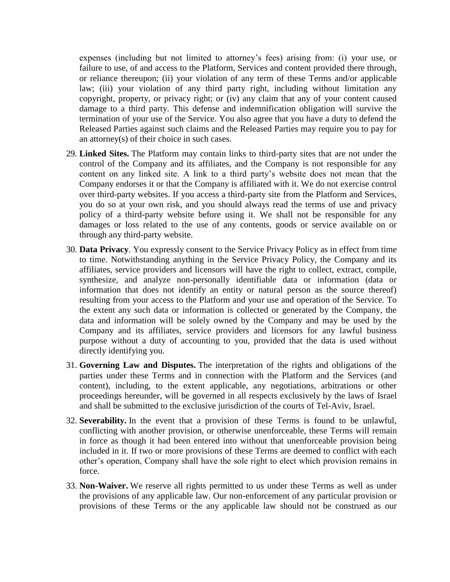expenses (including but not limited to attorney's fees) arising from: (i) your use, or failure to use, of and access to the Platform, Services and content provided there through, or reliance thereupon; (ii) your violation of any term of these Terms and/or applicable law; (iii) your violation of any third party right, including without limitation any copyright, property, or privacy right; or (iv) any claim that any of your content caused damage to a third party. This defense and indemnification obligation will survive the termination of your use of the Service. You also agree that you have a duty to defend the Released Parties against such claims and the Released Parties may require you to pay for an attorney(s) of their choice in such cases.

- 29. **Linked Sites.** The Platform may contain links to third-party sites that are not under the control of the Company and its affiliates, and the Company is not responsible for any content on any linked site. A link to a third party's website does not mean that the Company endorses it or that the Company is affiliated with it. We do not exercise control over third-party websites. If you access a third-party site from the Platform and Services, you do so at your own risk, and you should always read the terms of use and privacy policy of a third-party website before using it. We shall not be responsible for any damages or loss related to the use of any contents, goods or service available on or through any third-party website.
- 30. **Data Privacy**. You expressly consent to the Service [Privacy Policy](https://manna-irrigation.com/privacy-policy/) as in effect from time to time. Notwithstanding anything in the Service Privacy Policy, the Company and its affiliates, service providers and licensors will have the right to collect, extract, compile, synthesize, and analyze non-personally identifiable data or information (data or information that does not identify an entity or natural person as the source thereof) resulting from your access to the Platform and your use and operation of the Service. To the extent any such data or information is collected or generated by the Company, the data and information will be solely owned by the Company and may be used by the Company and its affiliates, service providers and licensors for any lawful business purpose without a duty of accounting to you, provided that the data is used without directly identifying you.
- 31. **Governing Law and Disputes.** The interpretation of the rights and obligations of the parties under these Terms and in connection with the Platform and the Services (and content), including, to the extent applicable, any negotiations, arbitrations or other proceedings hereunder, will be governed in all respects exclusively by the laws of Israel and shall be submitted to the exclusive jurisdiction of the courts of Tel-Aviv, Israel.
- 32. **Severability.** In the event that a provision of these Terms is found to be unlawful, conflicting with another provision, or otherwise unenforceable, these Terms will remain in force as though it had been entered into without that unenforceable provision being included in it. If two or more provisions of these Terms are deemed to conflict with each other's operation, Company shall have the sole right to elect which provision remains in force.
- 33. **Non-Waiver.** We reserve all rights permitted to us under these Terms as well as under the provisions of any applicable law. Our non-enforcement of any particular provision or provisions of these Terms or the any applicable law should not be construed as our